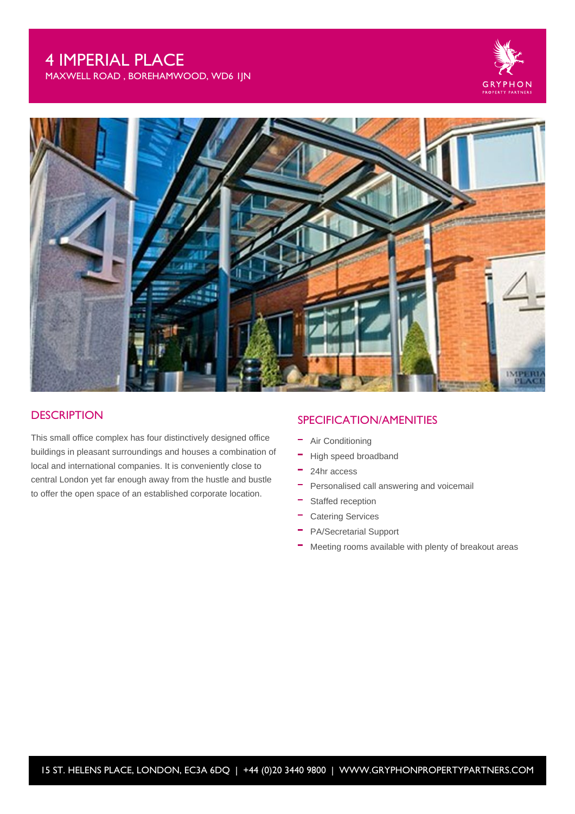# 4 IMPERIAL PLACE

MAXWELL ROAD , BOREHAMWOOD, WD6 1JN





#### **DESCRIPTION**

This small office complex has four distinctively designed office buildings in pleasant surroundings and houses a combination of local and international companies. It is conveniently close to central London yet far enough away from the hustle and bustle to offer the open space of an established corporate location.

#### SPECIFICATION/AMENITIES

- Air Conditioning
- High speed broadband
- $\equiv$ 24hr access
- $\sim$ Personalised call answering and voicemail
- $\equiv$ Staffed reception
- $\equiv$ Catering Services
- PA/Secretarial Support
- Meeting rooms available with plenty of breakout areas